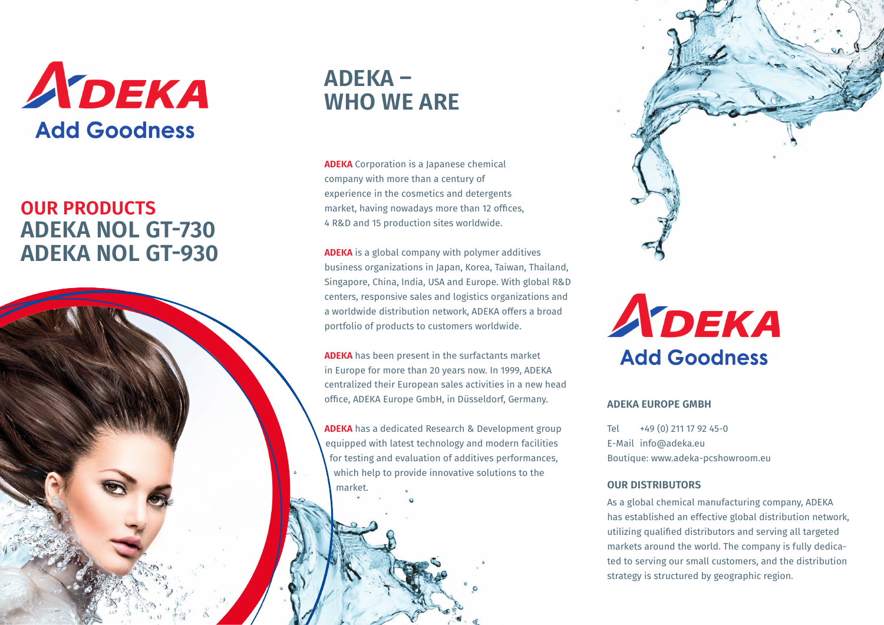

### **OUR PRODUCTS ADEKA NOL GT-730 ADEKA NOL GT-930**

## **ADEKA – WHO WE ARE**

**ADEKA** Corporation is a Japanese chemical company with more than a century of experience in the cosmetics and detergents market, having nowadays more than 12 offices, 4 R&D and 15 production sites worldwide.

**ADEKA** is a global company with polymer additives business organizations in Japan, Korea, Taiwan, Thailand, Singapore, China, India, USA and Europe. With global R&D centers, responsive sales and logistics organizations and a worldwide distribution network, ADEKA offers a broad portfolio of products to customers worldwide.

**ADEKA** has been present in the surfactants market in Europe for more than 20 years now. In 1999, ADEKA centralized their European sales activities in a new head office, ADEKA Europe GmbH, in Düsseldorf, Germany.

**ADEKA** has a dedicated Research & Development group equipped with latest technology and modern facilities for testing and evaluation of additives performances, which help to provide innovative solutions to the market.



ADEKA **Add Goodness** 

#### **ADEKA EUROPE GMBH**

Tel +49 (0) 211 17 92 45-0 E-Mail info@adeka.eu Boutique: www.adeka-pcshowroom.eu

#### **OUR DISTRIBUTORS**

As a global chemical manufacturing company, ADEKA has established an effective global distribution network, utilizing qualified distributors and serving all targeted markets around the world. The company is fully dedicated to serving our small customers, and the distribution strategy is structured by geographic region.